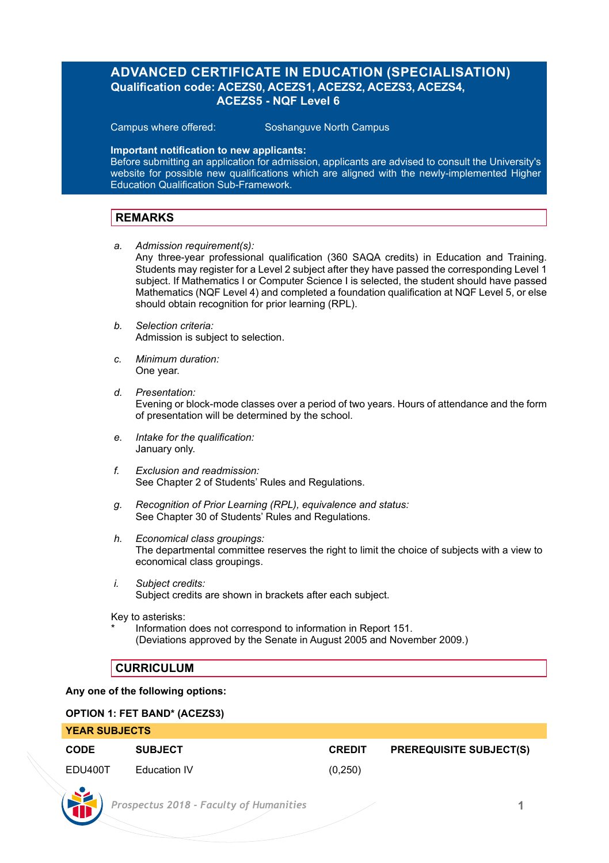# **ADVANCED CERTIFICATE IN EDUCATION (SPECIALISATION) Qualification code: ACEZS0, ACEZS1, ACEZS2, ACEZS3, ACEZS4, ACEZS5 - NQF Level 6**

Campus where offered: Soshanguve North Campus

### **Important notification to new applicants:**

Before submitting an application for admission, applicants are advised to consult the University's website for possible new qualifications which are aligned with the newly-implemented Higher Education Qualification Sub-Framework.

## **REMARKS**

- *a. Admission requirement(s):* Any three-year professional qualification (360 SAQA credits) in Education and Training. Students may register for a Level 2 subject after they have passed the corresponding Level 1 subject. If Mathematics I or Computer Science I is selected, the student should have passed Mathematics (NQF Level 4) and completed a foundation qualification at NQF Level 5, or else should obtain recognition for prior learning (RPL).
- *b. Selection criteria:* Admission is subject to selection.
- *c. Minimum duration:* One year.
- *d. Presentation:*  Evening or block-mode classes over a period of two years. Hours of attendance and the form of presentation will be determined by the school.
- *e. Intake for the qualification:* January only.
- *f. Exclusion and readmission:* See Chapter 2 of Students' Rules and Regulations.
- *g. Recognition of Prior Learning (RPL), equivalence and status:* See Chapter 30 of Students' Rules and Regulations.
- *h. Economical class groupings:* The departmental committee reserves the right to limit the choice of subjects with a view to economical class groupings.
- *i. Subject credits:* Subject credits are shown in brackets after each subject.

Key to asterisks:

Information does not correspond to information in Report 151. (Deviations approved by the Senate in August 2005 and November 2009.)

### **CURRICULUM**

### **Any one of the following options:**

### **OPTION 1: FET BAND\* (ACEZS3)**

| <b>YEAR SUBJECTS</b> |                |               |                                |  |
|----------------------|----------------|---------------|--------------------------------|--|
| CODE                 | <b>SUBJECT</b> | <b>CREDIT</b> | <b>PREREQUISITE SUBJECT(S)</b> |  |
| EDU400T              | Education IV   | (0,250)       |                                |  |

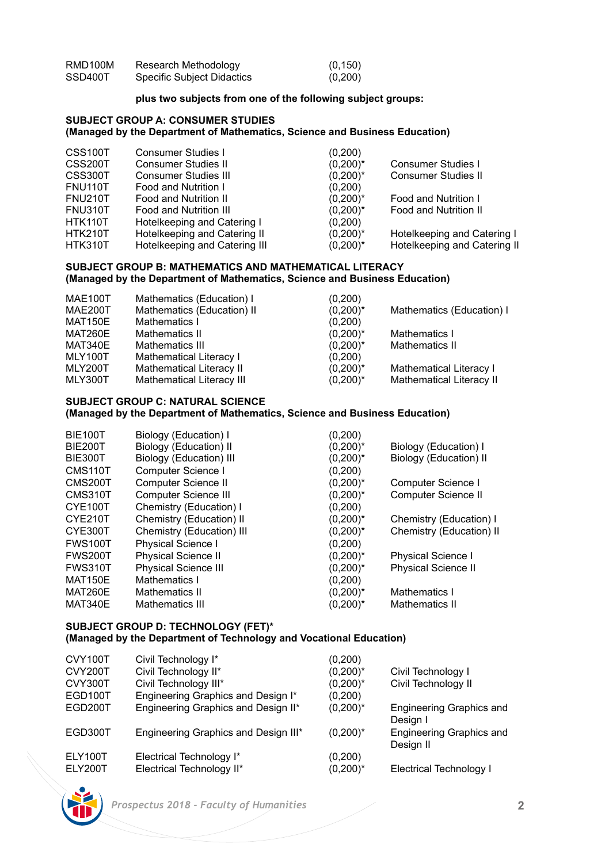| RMD100M | Research Methodology       | (0, 150) |
|---------|----------------------------|----------|
| SSD400T | Specific Subject Didactics | (0,200)  |

### **plus two subjects from one of the following subject groups:**

# **SUBJECT GROUP A: CONSUMER STUDIES**

## **(Managed by the Department of Mathematics, Science and Business Education)**

| CSS100T        | Consumer Studies I            | (0, 200)    |                              |
|----------------|-------------------------------|-------------|------------------------------|
| CSS200T        | Consumer Studies II           | $(0,200)^*$ | Consumer Studies I           |
| CSS300T        | <b>Consumer Studies III</b>   | $(0,200)^*$ | Consumer Studies II          |
| <b>FNU110T</b> | Food and Nutrition I          | (0,200)     |                              |
| <b>FNU210T</b> | Food and Nutrition II         | $(0,200)^*$ | Food and Nutrition I         |
| <b>FNU310T</b> | Food and Nutrition III        | $(0,200)^*$ | Food and Nutrition II        |
| HTK110T        | Hotelkeeping and Catering I   | (0,200)     |                              |
| <b>HTK210T</b> | Hotelkeeping and Catering II  | $(0,200)^*$ | Hotelkeeping and Catering I  |
| HTK310T        | Hotelkeeping and Catering III | $(0,200)^*$ | Hotelkeeping and Catering II |
|                |                               |             |                              |

### **SUBJECT GROUP B: MATHEMATICS AND MATHEMATICAL LITERACY (Managed by the Department of Mathematics, Science and Business Education)**

| MAE100T        | Mathematics (Education) I  | (0, 200)    |                           |
|----------------|----------------------------|-------------|---------------------------|
| <b>MAE200T</b> | Mathematics (Education) II | $(0,200)^*$ | Mathematics (Education) I |
| <b>MAT150E</b> | Mathematics I              | (0,200)     |                           |
| MAT260E        | Mathematics II             | $(0,200)^*$ | Mathematics I             |
| MAT340E        | Mathematics III            | $(0,200)^*$ | Mathematics II            |
| MLY100T        | Mathematical Literacy I    | (0,200)     |                           |
| MLY200T        | Mathematical Literacy II   | $(0,200)^*$ | Mathematical Literacy I   |
| MLY300T        | Mathematical Literacy III  | $(0,200)^*$ | Mathematical Literacy II  |
|                |                            |             |                           |

# **SUBJECT GROUP C: NATURAL SCIENCE**

### **(Managed by the Department of Mathematics, Science and Business Education)**

| BIE100T              | Biology (Education) I       | (0,200)     |                            |
|----------------------|-----------------------------|-------------|----------------------------|
| <b>BIE200T</b>       | Biology (Education) II      | $(0,200)^*$ | Biology (Education) I      |
| BIE300T              | Biology (Education) III     | $(0,200)^*$ | Biology (Education) II     |
| CMS <sub>110</sub> T | Computer Science I          | (0,200)     |                            |
| CMS200T              | Computer Science II         | $(0,200)^*$ | Computer Science I         |
| CMS310T              | Computer Science III        | $(0,200)^*$ | Computer Science II        |
| CYE100T              | Chemistry (Education) I     | (0, 200)    |                            |
| CYE210T              | Chemistry (Education) II    | $(0,200)^*$ | Chemistry (Education) I    |
| CYE300T              | Chemistry (Education) III   | $(0,200)^*$ | Chemistry (Education) II   |
| <b>FWS100T</b>       | <b>Physical Science I</b>   | (0, 200)    |                            |
| <b>FWS200T</b>       | <b>Physical Science II</b>  | $(0,200)^*$ | <b>Physical Science I</b>  |
| <b>FWS310T</b>       | <b>Physical Science III</b> | $(0,200)^*$ | <b>Physical Science II</b> |
| <b>MAT150E</b>       | Mathematics I               | (0,200)     |                            |
| MAT260E              | Mathematics II              | $(0,200)^*$ | Mathematics I              |
| MAT340E              | Mathematics III             | $(0.200)^*$ | Mathematics II             |
|                      |                             |             |                            |

### **SUBJECT GROUP D: TECHNOLOGY (FET)\* (Managed by the Department of Technology and Vocational Education)**

| CVY100T | Civil Technology I*                  | (0, 200)    |                                |
|---------|--------------------------------------|-------------|--------------------------------|
| CVY200T | Civil Technology II*                 | $(0,200)^*$ | Civil Technology I             |
| CVY300T | Civil Technology III*                | $(0,200)^*$ | Civil Technology II            |
| EGD100T | Engineering Graphics and Design I*   | (0, 200)    |                                |
| EGD200T | Engineering Graphics and Design II*  | $(0,200)^*$ | Engineering Graphics and       |
|         |                                      |             | Design I                       |
| EGD300T | Engineering Graphics and Design III* | $(0.200)^*$ | Engineering Graphics and       |
|         |                                      |             | Design II                      |
| ELY100T | Electrical Technology I*             | (0, 200)    |                                |
| ELY200T | Electrical Technology II*            | $(0,200)^*$ | <b>Electrical Technology I</b> |
|         |                                      |             |                                |

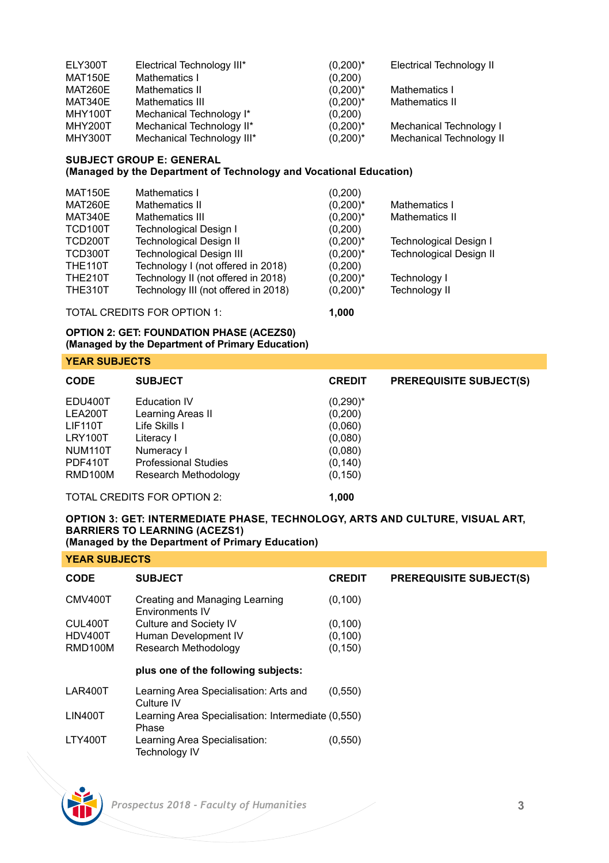| ELY300T        | Electrical Technology III* | $(0,200)^*$ | <b>Electrical Technology II</b> |
|----------------|----------------------------|-------------|---------------------------------|
| MAT150E        | Mathematics I              | (0,200)     |                                 |
| MAT260E        | Mathematics II             | $(0,200)^*$ | Mathematics I                   |
| MAT340E        | Mathematics III            | $(0,200)^*$ | Mathematics II                  |
| MHY100T        | Mechanical Technology I*   | (0,200)     |                                 |
| <b>MHY200T</b> | Mechanical Technology II*  | $(0,200)^*$ | Mechanical Technology I         |
| MHY300T        | Mechanical Technology III* | $(0,200)^*$ | <b>Mechanical Technology II</b> |

### **SUBJECT GROUP E: GENERAL**

**(Managed by the Department of Technology and Vocational Education)**

| <b>MAT150E</b> | Mathematics I                        | (0, 200)    |                                |
|----------------|--------------------------------------|-------------|--------------------------------|
| <b>MAT260E</b> | Mathematics II                       | $(0,200)^*$ | Mathematics I                  |
| MAT340E        | Mathematics III                      | $(0,200)^*$ | Mathematics II                 |
| TCD100T        | <b>Technological Design I</b>        | (0, 200)    |                                |
| TCD200T        | <b>Technological Design II</b>       | $(0,200)^*$ | Technological Design I         |
| TCD300T        | <b>Technological Design III</b>      | $(0,200)^*$ | <b>Technological Design II</b> |
| <b>THE110T</b> | Technology I (not offered in 2018)   | (0, 200)    |                                |
| <b>THE210T</b> | Technology II (not offered in 2018)  | $(0,200)^*$ | Technology I                   |
| <b>THE310T</b> | Technology III (not offered in 2018) | $(0,200)^*$ | <b>Technology II</b>           |
|                |                                      |             |                                |

TOTAL CREDITS FOR OPTION 1: **1,000**

# **OPTION 2: GET: FOUNDATION PHASE (ACEZS0) (Managed by the Department of Primary Education)**

**YEAR SUBJECTS**

| <b>CODE</b>    | <b>SUBJECT</b>              | <b>CREDIT</b> | <b>PREREQUISITE SUBJECT(S)</b> |
|----------------|-----------------------------|---------------|--------------------------------|
| EDU400T        | <b>Education IV</b>         | $(0,290)^*$   |                                |
| LEA200T        | Learning Areas II           | (0, 200)      |                                |
| <b>LIF110T</b> | Life Skills I               | (0,060)       |                                |
| LRY100T        | Literacy I                  | (0,080)       |                                |
| NUM110T        | Numeracy I                  | (0.080)       |                                |
| PDF410T        | <b>Professional Studies</b> | (0, 140)      |                                |
| RMD100M        | Research Methodology        | (0, 150)      |                                |

TOTAL CREDITS FOR OPTION 2: **1,000**

# **OPTION 3: GET: INTERMEDIATE PHASE, TECHNOLOGY, ARTS AND CULTURE, VISUAL ART, BARRIERS TO LEARNING (ACEZS1)**

**(Managed by the Department of Primary Education)**

| <b>CODE</b>    | <b>SUBJECT</b>                                              | <b>CREDIT</b> | <b>PREREQUISITE SUBJECT(S)</b> |
|----------------|-------------------------------------------------------------|---------------|--------------------------------|
| CMV400T        | Creating and Managing Learning<br>Environments IV           | (0, 100)      |                                |
| CUL400T        | Culture and Society IV                                      | (0, 100)      |                                |
| HDV400T        | Human Development IV                                        | (0.100)       |                                |
| RMD100M        | Research Methodology                                        | (0, 150)      |                                |
|                | plus one of the following subjects:                         |               |                                |
| LAR400T        | Learning Area Specialisation: Arts and<br>Culture IV        | (0,550)       |                                |
| <b>LIN400T</b> | Learning Area Specialisation: Intermediate (0,550)<br>Phase |               |                                |
| LTY400T        | Learning Area Specialisation:<br><b>Technology IV</b>       | (0,550)       |                                |

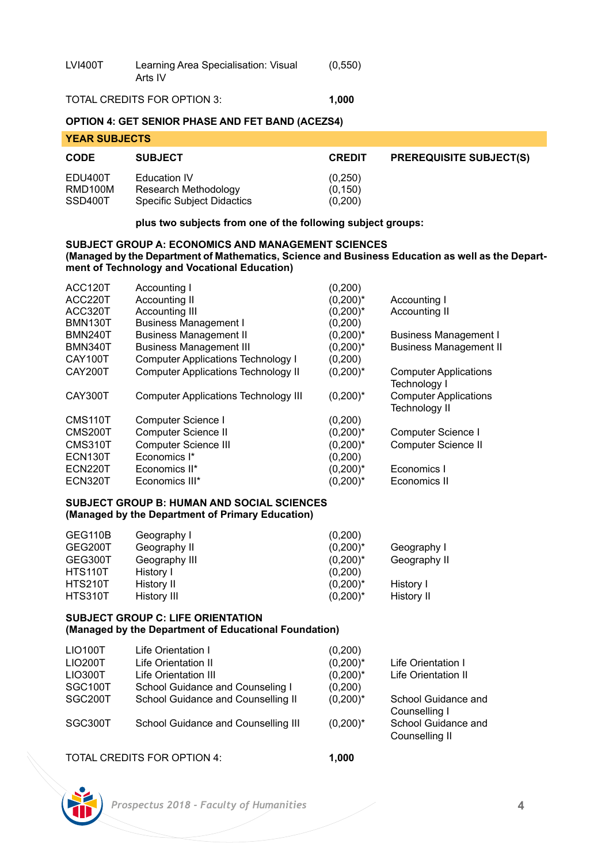| <b>LVI400T</b> | Learning Area Specialisation: Visual<br>Arts IV | (0, 550) |
|----------------|-------------------------------------------------|----------|
|                |                                                 |          |

# TOTAL CREDITS FOR OPTION 3: **1,000**

# **OPTION 4: GET SENIOR PHASE AND FET BAND (ACEZS4)**

| <b>YEAR SUBJECTS</b>          |                                                                           |                                |                                |  |
|-------------------------------|---------------------------------------------------------------------------|--------------------------------|--------------------------------|--|
| <b>CODE</b>                   | <b>SUBJECT</b>                                                            | <b>CREDIT</b>                  | <b>PREREQUISITE SUBJECT(S)</b> |  |
| EDU400T<br>RMD100M<br>SSD400T | Education IV<br>Research Methodology<br><b>Specific Subject Didactics</b> | (0.250)<br>(0, 150)<br>(0,200) |                                |  |

**plus two subjects from one of the following subject groups:**

### **SUBJECT GROUP A: ECONOMICS AND MANAGEMENT SCIENCES (Managed by the Department of Mathematics, Science and Business Education as well as the Department of Technology and Vocational Education)**

| ACC120T              | Accounting I                                | (0, 200)    |                                                     |
|----------------------|---------------------------------------------|-------------|-----------------------------------------------------|
| ACC220T              | Accounting II                               | $(0,200)^*$ | Accounting I                                        |
| ACC320T              | Accounting III                              | $(0,200)^*$ | Accounting II                                       |
| <b>BMN130T</b>       | <b>Business Management I</b>                | (0, 200)    |                                                     |
| <b>BMN240T</b>       | <b>Business Management II</b>               | $(0,200)^*$ | <b>Business Management I</b>                        |
| BMN340T              | <b>Business Management III</b>              | $(0,200)^*$ | <b>Business Management II</b>                       |
| CAY100T              | <b>Computer Applications Technology I</b>   | (0, 200)    |                                                     |
| CAY200T              | <b>Computer Applications Technology II</b>  | $(0,200)^*$ | <b>Computer Applications</b><br><b>Technology I</b> |
| CAY300T              | <b>Computer Applications Technology III</b> | $(0,200)^*$ | <b>Computer Applications</b><br>Technology II       |
| CMS <sub>110</sub> T | Computer Science I                          | (0, 200)    |                                                     |
| CMS200T              | Computer Science II                         | $(0,200)^*$ | Computer Science I                                  |
| CMS310T              | <b>Computer Science III</b>                 | $(0,200)^*$ | Computer Science II                                 |
| <b>ECN130T</b>       | Economics I*                                | (0, 200)    |                                                     |
| <b>ECN220T</b>       | Economics II*                               | $(0,200)^*$ | Economics I                                         |
| <b>ECN320T</b>       | Economics III*                              | $(0,200)^*$ | Economics II                                        |
|                      |                                             |             |                                                     |

### **SUBJECT GROUP B: HUMAN AND SOCIAL SCIENCES (Managed by the Department of Primary Education)**

| GEG110B        | Geography I   | (0.200)     |              |
|----------------|---------------|-------------|--------------|
| GEG200T        | Geography II  | $(0,200)^*$ | Geography I  |
| GEG300T        | Geography III | $(0,200)^*$ | Geography II |
| HTS110T        | History I     | (0.200)     |              |
| <b>HTS210T</b> | History II    | $(0,200)^*$ | History I    |
| HTS310T        | History III   | $(0.200)^*$ | History II   |

### **SUBJECT GROUP C: LIFE ORIENTATION (Managed by the Department of Educational Foundation)**

| <b>LIO100T</b> | Life Orientation I                  | (0,200)     |                     |
|----------------|-------------------------------------|-------------|---------------------|
| LIO200T        | Life Orientation II                 | $(0,200)^*$ | Life Orientation I  |
| LIO300T        | Life Orientation III                | $(0,200)^*$ | Life Orientation II |
| SGC100T        | School Guidance and Counseling I    | (0,200)     |                     |
| SGC200T        | School Guidance and Counselling II  | $(0,200)^*$ | School Guidance and |
|                |                                     |             | Counselling I       |
| SGC300T        | School Guidance and Counselling III | $(0,200)^*$ | School Guidance and |
|                |                                     |             | Counselling II      |
|                |                                     |             |                     |

TOTAL CREDITS FOR OPTION 4: **1,000**

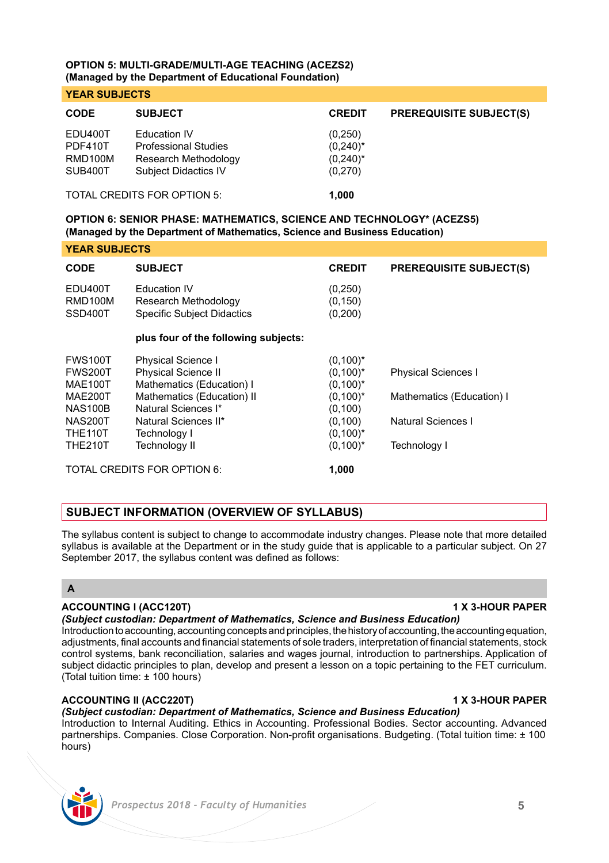### **OPTION 5: MULTI-GRADE/MULTI-AGE TEACHING (ACEZS2) (Managed by the Department of Educational Foundation)**

### **YEAR SUBJECTS**

| <b>CODE</b>                 | <b>SUBJECT</b>                                      | <b>CREDIT</b>          | <b>PREREQUISITE SUBJECT(S)</b> |  |  |
|-----------------------------|-----------------------------------------------------|------------------------|--------------------------------|--|--|
| EDU400T<br>PDF410T          | <b>Education IV</b><br><b>Professional Studies</b>  | (0,250)<br>$(0,240)^*$ |                                |  |  |
| RMD100M<br>SUB400T          | Research Methodology<br><b>Subject Didactics IV</b> | $(0,240)^*$<br>(0,270) |                                |  |  |
| TOTAL CREDITS FOR OPTION 5: |                                                     | 1.000                  |                                |  |  |

# **OPTION 6: SENIOR PHASE: MATHEMATICS, SCIENCE AND TECHNOLOGY\* (ACEZS5) (Managed by the Department of Mathematics, Science and Business Education)**

# **YEAR SUBJECTS**

| <b>CODE</b>                          | <b>SUBJECT</b>                                                                   | <b>CREDIT</b>                    | <b>PREREQUISITE SUBJECT(S)</b> |
|--------------------------------------|----------------------------------------------------------------------------------|----------------------------------|--------------------------------|
| <b>EDU400T</b><br>RMD100M<br>SSD400T | <b>Education IV</b><br>Research Methodology<br><b>Specific Subject Didactics</b> | (0, 250)<br>(0, 150)<br>(0, 200) |                                |
|                                      | plus four of the following subjects:                                             |                                  |                                |
| <b>FWS100T</b>                       | <b>Physical Science I</b>                                                        | $(0,100)^*$                      |                                |
| <b>FWS200T</b>                       | <b>Physical Science II</b>                                                       | $(0,100)^*$                      | <b>Physical Sciences I</b>     |
| <b>MAE100T</b>                       | Mathematics (Education) I                                                        | $(0,100)^*$                      |                                |
| <b>MAE200T</b>                       | Mathematics (Education) II                                                       | $(0,100)^*$                      | Mathematics (Education) I      |
| <b>NAS100B</b>                       | Natural Sciences I*                                                              | (0, 100)                         |                                |
| NAS200T                              | Natural Sciences II*                                                             | (0, 100)                         | Natural Sciences I             |
| THE <sub>110</sub> T                 | Technology I                                                                     | $(0,100)^*$                      |                                |
| <b>THE210T</b>                       | <b>Technology II</b>                                                             | $(0,100)^*$                      | <b>Technology I</b>            |
| TOTAL CREDITS FOR OPTION 6:          |                                                                                  | 1.000                            |                                |

# **SUBJECT INFORMATION (OVERVIEW OF SYLLABUS)**

The syllabus content is subject to change to accommodate industry changes. Please note that more detailed syllabus is available at the Department or in the study guide that is applicable to a particular subject. On 27 September 2017, the syllabus content was defined as follows:

# **A**

### **ACCOUNTING l (ACC120T) 1 X 3-HOUR PAPER**

### *(Subject custodian: Department of Mathematics, Science and Business Education)*

Introduction to accounting, accounting concepts and principles, the history of accounting, the accounting equation, adjustments, final accounts and financial statements of sole traders, interpretation of financial statements, stock control systems, bank reconciliation, salaries and wages journal, introduction to partnerships. Application of subject didactic principles to plan, develop and present a lesson on a topic pertaining to the FET curriculum. (Total tuition time: ± 100 hours)

### **ACCOUNTING II (ACC220T) 1 X 3-HOUR PAPER**

# *(Subject custodian: Department of Mathematics, Science and Business Education)*

Introduction to Internal Auditing. Ethics in Accounting. Professional Bodies. Sector accounting. Advanced partnerships. Companies. Close Corporation. Non-profit organisations. Budgeting. (Total tuition time: ± 100 hours)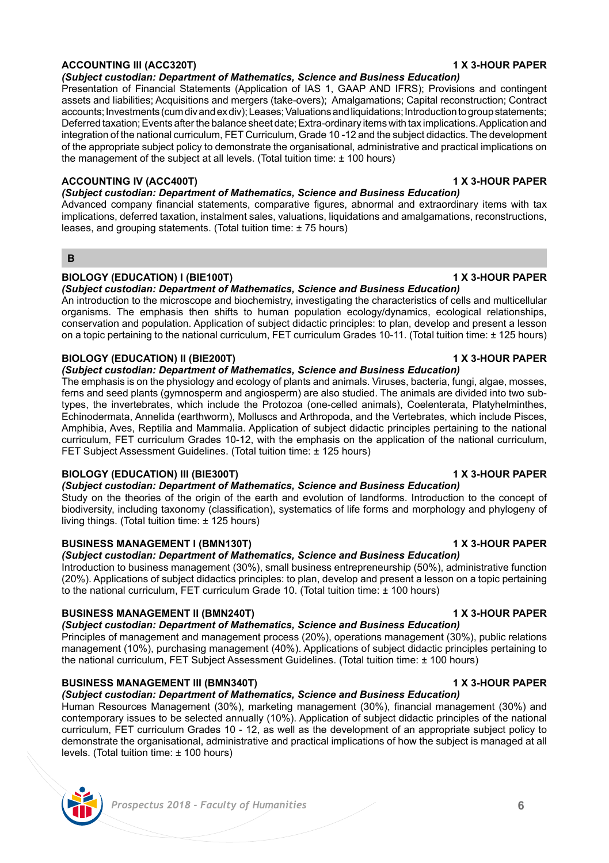# **ACCOUNTING III (ACC320T) 1 X 3-HOUR PAPER**

*(Subject custodian: Department of Mathematics, Science and Business Education)* 

Presentation of Financial Statements (Application of IAS 1, GAAP AND IFRS); Provisions and contingent assets and liabilities; Acquisitions and mergers (take-overs); Amalgamations; Capital reconstruction; Contract accounts; Investments (cum div and ex div); Leases; Valuations and liquidations; Introduction to group statements; Deferred taxation; Events after the balance sheet date; Extra-ordinary items with tax implications. Application and integration of the national curriculum, FET Curriculum, Grade 10 -12 and the subject didactics. The development of the appropriate subject policy to demonstrate the organisational, administrative and practical implications on the management of the subject at all levels. (Total tuition time: ± 100 hours)

# **ACCOUNTING IV (ACC400T) 1 X 3-HOUR PAPER**

*(Subject custodian: Department of Mathematics, Science and Business Education)* 

Advanced company financial statements, comparative figures, abnormal and extraordinary items with tax implications, deferred taxation, instalment sales, valuations, liquidations and amalgamations, reconstructions, leases, and grouping statements. (Total tuition time: ± 75 hours)

# **B**

# **BIOLOGY (EDUCATION) I (BIE100T) 1 X 3-HOUR PAPER**

*(Subject custodian: Department of Mathematics, Science and Business Education)* 

An introduction to the microscope and biochemistry, investigating the characteristics of cells and multicellular organisms. The emphasis then shifts to human population ecology/dynamics, ecological relationships, conservation and population. Application of subject didactic principles: to plan, develop and present a lesson on a topic pertaining to the national curriculum, FET curriculum Grades 10-11. (Total tuition time: ± 125 hours)

# **BIOLOGY (EDUCATION) II (BIE200T) 1 X 3-HOUR PAPER**

*(Subject custodian: Department of Mathematics, Science and Business Education)* 

The emphasis is on the physiology and ecology of plants and animals. Viruses, bacteria, fungi, algae, mosses, ferns and seed plants (gymnosperm and angiosperm) are also studied. The animals are divided into two subtypes, the invertebrates, which include the Protozoa (one-celled animals), Coelenterata, Platyhelminthes, Echinodermata, Annelida (earthworm), Molluscs and Arthropoda, and the Vertebrates, which include Pisces, Amphibia, Aves, Reptilia and Mammalia. Application of subject didactic principles pertaining to the national curriculum, FET curriculum Grades 10-12, with the emphasis on the application of the national curriculum, FET Subject Assessment Guidelines. (Total tuition time: ± 125 hours)

# **BIOLOGY (EDUCATION) III (BIE300T) 1 X 3-HOUR PAPER**

*(Subject custodian: Department of Mathematics, Science and Business Education)* 

Study on the theories of the origin of the earth and evolution of landforms. Introduction to the concept of biodiversity, including taxonomy (classification), systematics of life forms and morphology and phylogeny of living things. (Total tuition time: ± 125 hours)

# **BUSINESS MANAGEMENT I (BMN130T) 1 X 3-HOUR PAPER**

*(Subject custodian: Department of Mathematics, Science and Business Education)* 

Introduction to business management (30%), small business entrepreneurship (50%), administrative function (20%). Applications of subject didactics principles: to plan, develop and present a lesson on a topic pertaining to the national curriculum, FET curriculum Grade 10. (Total tuition time: ± 100 hours)

# **BUSINESS MANAGEMENT II (BMN240T) 1 X 3-HOUR PAPER**

*(Subject custodian: Department of Mathematics, Science and Business Education)*  Principles of management and management process (20%), operations management (30%), public relations management (10%), purchasing management (40%). Applications of subject didactic principles pertaining to the national curriculum, FET Subject Assessment Guidelines. (Total tuition time: ± 100 hours)

# **BUSINESS MANAGEMENT III (BMN340T) 1 X 3-HOUR PAPER**

*(Subject custodian: Department of Mathematics, Science and Business Education)*  Human Resources Management (30%), marketing management (30%), financial management (30%) and contemporary issues to be selected annually (10%). Application of subject didactic principles of the national curriculum, FET curriculum Grades 10 - 12, as well as the development of an appropriate subject policy to demonstrate the organisational, administrative and practical implications of how the subject is managed at all levels. (Total tuition time: ± 100 hours)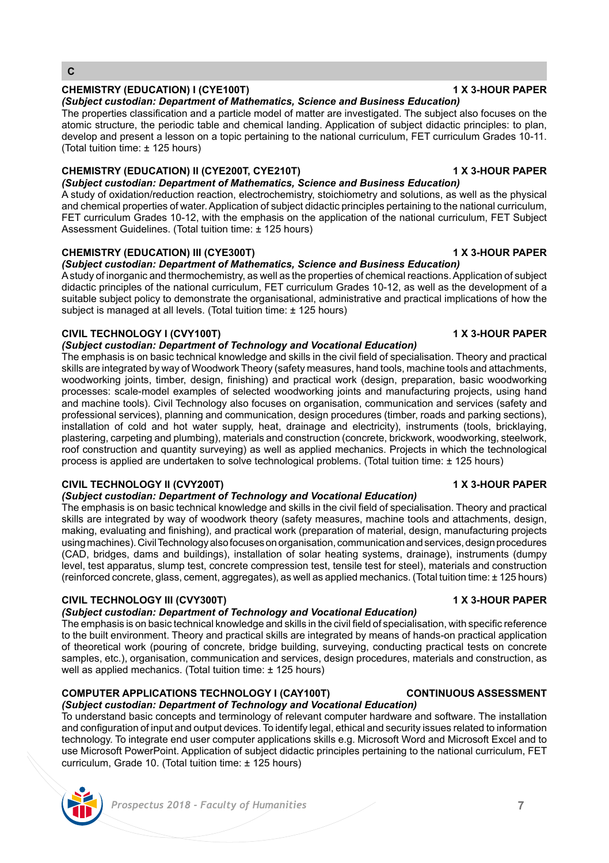### **C**

### **CHEMISTRY (EDUCATION) I (CYE100T) 1 X 3-HOUR PAPER**

*(Subject custodian: Department of Mathematics, Science and Business Education)*  The properties classification and a particle model of matter are investigated. The subject also focuses on the

atomic structure, the periodic table and chemical landing. Application of subject didactic principles: to plan, develop and present a lesson on a topic pertaining to the national curriculum, FET curriculum Grades 10-11. (Total tuition time: ± 125 hours)

# **CHEMISTRY (EDUCATION) II (CYE200T, CYE210T) 1 X 3-HOUR PAPER**

*(Subject custodian: Department of Mathematics, Science and Business Education)*  A study of oxidation/reduction reaction, electrochemistry, stoichiometry and solutions, as well as the physical and chemical properties of water. Application of subject didactic principles pertaining to the national curriculum, FET curriculum Grades 10-12, with the emphasis on the application of the national curriculum, FET Subject Assessment Guidelines. (Total tuition time: ± 125 hours)

### **CHEMISTRY (EDUCATION) III (CYE300T) 1 X 3-HOUR PAPER**

*(Subject custodian: Department of Mathematics, Science and Business Education)* 

A study of inorganic and thermochemistry, as well as the properties of chemical reactions. Application of subject didactic principles of the national curriculum, FET curriculum Grades 10-12, as well as the development of a suitable subject policy to demonstrate the organisational, administrative and practical implications of how the subject is managed at all levels. (Total tuition time: ± 125 hours)

### **CIVIL TECHNOLOGY I (CVY100T) 1 X 3-HOUR PAPER**

*(Subject custodian: Department of Technology and Vocational Education)* 

The emphasis is on basic technical knowledge and skills in the civil field of specialisation. Theory and practical skills are integrated by way of Woodwork Theory (safety measures, hand tools, machine tools and attachments, woodworking joints, timber, design, finishing) and practical work (design, preparation, basic woodworking processes: scale-model examples of selected woodworking joints and manufacturing projects, using hand and machine tools). Civil Technology also focuses on organisation, communication and services (safety and professional services), planning and communication, design procedures (timber, roads and parking sections), installation of cold and hot water supply, heat, drainage and electricity), instruments (tools, bricklaying, plastering, carpeting and plumbing), materials and construction (concrete, brickwork, woodworking, steelwork, roof construction and quantity surveying) as well as applied mechanics. Projects in which the technological process is applied are undertaken to solve technological problems. (Total tuition time: ± 125 hours)

### **CIVIL TECHNOLOGY II (CVY200T) 1 X 3-HOUR PAPER**

# *(Subject custodian: Department of Technology and Vocational Education)*

The emphasis is on basic technical knowledge and skills in the civil field of specialisation. Theory and practical skills are integrated by way of woodwork theory (safety measures, machine tools and attachments, design, making, evaluating and finishing), and practical work (preparation of material, design, manufacturing projects using machines). Civil Technology also focuses on organisation, communication and services, design procedures (CAD, bridges, dams and buildings), installation of solar heating systems, drainage), instruments (dumpy level, test apparatus, slump test, concrete compression test, tensile test for steel), materials and construction (reinforced concrete, glass, cement, aggregates), as well as applied mechanics. (Total tuition time: ± 125 hours)

### **CIVIL TECHNOLOGY III (CVY300T) 1 X 3-HOUR PAPER**

### *(Subject custodian: Department of Technology and Vocational Education)*

The emphasis is on basic technical knowledge and skills in the civil field of specialisation, with specific reference to the built environment. Theory and practical skills are integrated by means of hands-on practical application of theoretical work (pouring of concrete, bridge building, surveying, conducting practical tests on concrete samples, etc.), organisation, communication and services, design procedures, materials and construction, as well as applied mechanics. (Total tuition time: ± 125 hours)

### **COMPUTER APPLICATIONS TECHNOLOGY I (CAY100T) CONTINUOUS ASSESSMENT**

### *(Subject custodian: Department of Technology and Vocational Education)*

To understand basic concepts and terminology of relevant computer hardware and software. The installation and configuration of input and output devices. To identify legal, ethical and security issues related to information technology. To integrate end user computer applications skills e.g. Microsoft Word and Microsoft Excel and to use Microsoft PowerPoint. Application of subject didactic principles pertaining to the national curriculum, FET curriculum, Grade 10. (Total tuition time: ± 125 hours)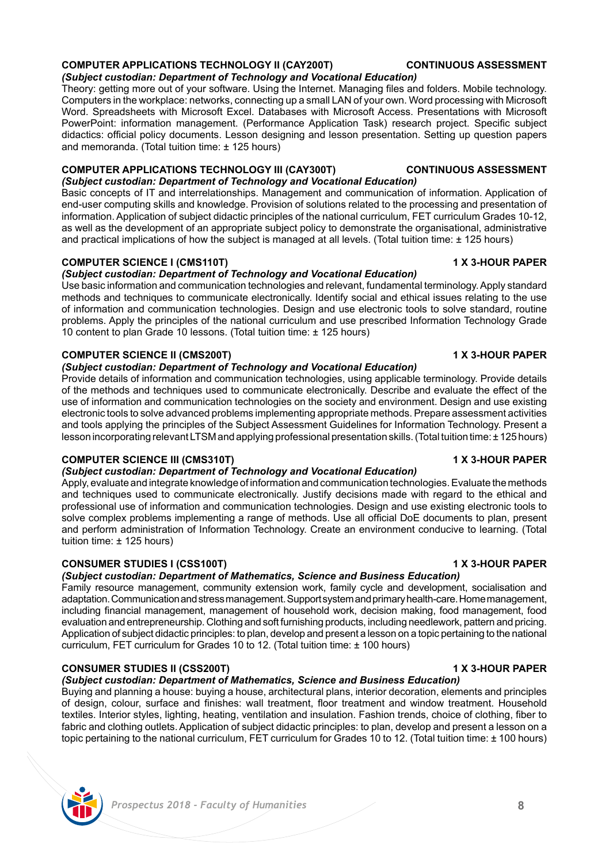# **COMPUTER APPLICATIONS TECHNOLOGY II (CAY200T) CONTINUOUS ASSESSMENT**

*(Subject custodian: Department of Technology and Vocational Education)* 

Theory: getting more out of your software. Using the Internet. Managing files and folders. Mobile technology. Computers in the workplace: networks, connecting up a small LAN of your own. Word processing with Microsoft Word. Spreadsheets with Microsoft Excel. Databases with Microsoft Access. Presentations with Microsoft PowerPoint: information management. (Performance Application Task) research project. Specific subject didactics: official policy documents. Lesson designing and lesson presentation. Setting up question papers and memoranda. (Total tuition time: ± 125 hours)

### **COMPUTER APPLICATIONS TECHNOLOGY III (CAY300T) CONTINUOUS ASSESSMENT** *(Subject custodian: Department of Technology and Vocational Education)*

Basic concepts of IT and interrelationships. Management and communication of information. Application of end-user computing skills and knowledge. Provision of solutions related to the processing and presentation of information. Application of subject didactic principles of the national curriculum, FET curriculum Grades 10-12, as well as the development of an appropriate subject policy to demonstrate the organisational, administrative and practical implications of how the subject is managed at all levels. (Total tuition time:  $\pm$  125 hours)

# **COMPUTER SCIENCE I (CMS110T) 1 X 3-HOUR PAPER**

### *(Subject custodian: Department of Technology and Vocational Education)*

Use basic information and communication technologies and relevant, fundamental terminology. Apply standard methods and techniques to communicate electronically. Identify social and ethical issues relating to the use of information and communication technologies. Design and use electronic tools to solve standard, routine problems. Apply the principles of the national curriculum and use prescribed Information Technology Grade 10 content to plan Grade 10 lessons. (Total tuition time: ± 125 hours)

### **COMPUTER SCIENCE II (CMS200T) 1 X 3-HOUR PAPER**

### *(Subject custodian: Department of Technology and Vocational Education)*

Provide details of information and communication technologies, using applicable terminology. Provide details of the methods and techniques used to communicate electronically. Describe and evaluate the effect of the use of information and communication technologies on the society and environment. Design and use existing electronic tools to solve advanced problems implementing appropriate methods. Prepare assessment activities and tools applying the principles of the Subject Assessment Guidelines for Information Technology. Present a lesson incorporating relevant LTSM and applying professional presentation skills. (Total tuition time: ± 125 hours)

### **COMPUTER SCIENCE III (CMS310T) 1 X 3-HOUR PAPER**

# *(Subject custodian: Department of Technology and Vocational Education)*

Apply, evaluate and integrate knowledge of information and communication technologies. Evaluate the methods and techniques used to communicate electronically. Justify decisions made with regard to the ethical and professional use of information and communication technologies. Design and use existing electronic tools to solve complex problems implementing a range of methods. Use all official DoE documents to plan, present and perform administration of Information Technology. Create an environment conducive to learning. (Total tuition time: ± 125 hours)

# **CONSUMER STUDIES I (CSS100T) 1 X 3-HOUR PAPER**

### *(Subject custodian: Department of Mathematics, Science and Business Education)*

Family resource management, community extension work, family cycle and development, socialisation and adaptation. Communication and stress management. Support system and primary health-care. Home management, including financial management, management of household work, decision making, food management, food evaluation and entrepreneurship. Clothing and soft furnishing products, including needlework, pattern and pricing. Application of subject didactic principles: to plan, develop and present a lesson on a topic pertaining to the national curriculum, FET curriculum for Grades 10 to 12. (Total tuition time: ± 100 hours)

# **CONSUMER STUDIES II (CSS200T) 1 X 3-HOUR PAPER**

### *(Subject custodian: Department of Mathematics, Science and Business Education)*

Buying and planning a house: buying a house, architectural plans, interior decoration, elements and principles of design, colour, surface and finishes: wall treatment, floor treatment and window treatment. Household textiles. Interior styles, lighting, heating, ventilation and insulation. Fashion trends, choice of clothing, fiber to fabric and clothing outlets. Application of subject didactic principles: to plan, develop and present a lesson on a topic pertaining to the national curriculum, FET curriculum for Grades 10 to 12. (Total tuition time: ± 100 hours)

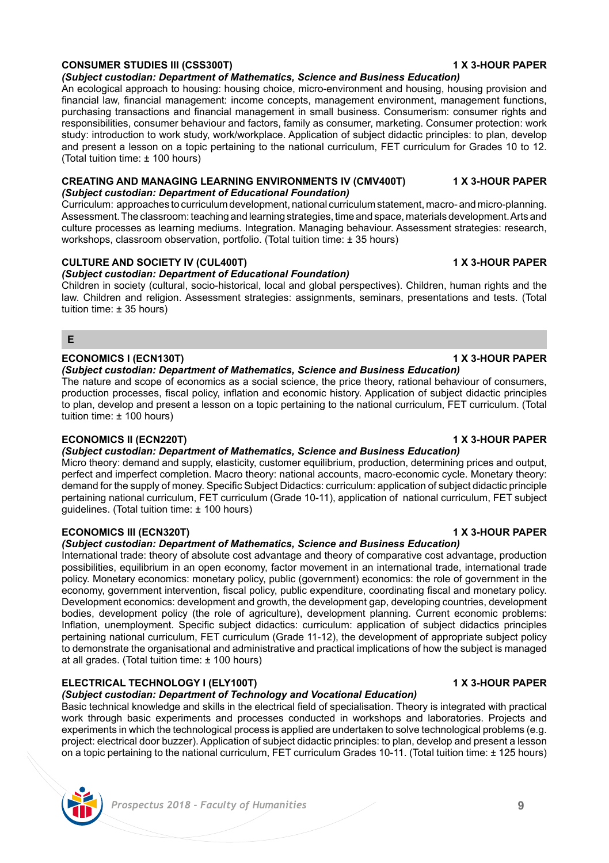# **CONSUMER STUDIES III (CSS300T) 1 X 3-HOUR PAPER**

# *(Subject custodian: Department of Mathematics, Science and Business Education)*

An ecological approach to housing: housing choice, micro-environment and housing, housing provision and financial law, financial management: income concepts, management environment, management functions, purchasing transactions and financial management in small business. Consumerism: consumer rights and responsibilities, consumer behaviour and factors, family as consumer, marketing. Consumer protection: work study: introduction to work study, work/workplace. Application of subject didactic principles: to plan, develop and present a lesson on a topic pertaining to the national curriculum, FET curriculum for Grades 10 to 12. (Total tuition time: ± 100 hours)

### **CREATING AND MANAGING LEARNING ENVIRONMENTS IV (CMV400T) 1 X 3-HOUR PAPER** *(Subject custodian: Department of Educational Foundation)*

Curriculum: approaches to curriculum development, national curriculum statement, macro- and micro-planning. Assessment. The classroom: teaching and learning strategies, time and space, materials development. Arts and culture processes as learning mediums. Integration. Managing behaviour. Assessment strategies: research, workshops, classroom observation, portfolio. (Total tuition time: ± 35 hours)

# **CULTURE AND SOCIETY IV (CUL400T) 1 X 3-HOUR PAPER**

*(Subject custodian: Department of Educational Foundation)*

Children in society (cultural, socio-historical, local and global perspectives). Children, human rights and the law. Children and religion. Assessment strategies: assignments, seminars, presentations and tests. (Total tuition time: ± 35 hours)

## **E**

# **ECONOMICS I (ECN130T) 1 X 3-HOUR PAPER**

### *(Subject custodian: Department of Mathematics, Science and Business Education)*

The nature and scope of economics as a social science, the price theory, rational behaviour of consumers, production processes, fiscal policy, inflation and economic history. Application of subject didactic principles to plan, develop and present a lesson on a topic pertaining to the national curriculum, FET curriculum. (Total tuition time: ± 100 hours)

# **ECONOMICS II (ECN220T) 1 X 3-HOUR PAPER**

# *(Subject custodian: Department of Mathematics, Science and Business Education)*

Micro theory: demand and supply, elasticity, customer equilibrium, production, determining prices and output, perfect and imperfect completion. Macro theory: national accounts, macro-economic cycle. Monetary theory: demand for the supply of money. Specific Subject Didactics: curriculum: application of subject didactic principle pertaining national curriculum, FET curriculum (Grade 10-11), application of national curriculum, FET subject guidelines. (Total tuition time: ± 100 hours)

# **ECONOMICS III (ECN320T) 1 X 3-HOUR PAPER**

# *(Subject custodian: Department of Mathematics, Science and Business Education)*

International trade: theory of absolute cost advantage and theory of comparative cost advantage, production possibilities, equilibrium in an open economy, factor movement in an international trade, international trade policy. Monetary economics: monetary policy, public (government) economics: the role of government in the economy, government intervention, fiscal policy, public expenditure, coordinating fiscal and monetary policy. Development economics: development and growth, the development gap, developing countries, development bodies, development policy (the role of agriculture), development planning. Current economic problems: Inflation, unemployment. Specific subject didactics: curriculum: application of subject didactics principles pertaining national curriculum, FET curriculum (Grade 11-12), the development of appropriate subject policy to demonstrate the organisational and administrative and practical implications of how the subject is managed at all grades. (Total tuition time: ± 100 hours)

# **ELECTRICAL TECHNOLOGY I (ELY100T) 1 X 3-HOUR PAPER**

# *(Subject custodian: Department of Technology and Vocational Education)*

Basic technical knowledge and skills in the electrical field of specialisation. Theory is integrated with practical work through basic experiments and processes conducted in workshops and laboratories. Projects and experiments in which the technological process is applied are undertaken to solve technological problems (e.g. project: electrical door buzzer). Application of subject didactic principles: to plan, develop and present a lesson on a topic pertaining to the national curriculum, FET curriculum Grades 10-11. (Total tuition time: ± 125 hours)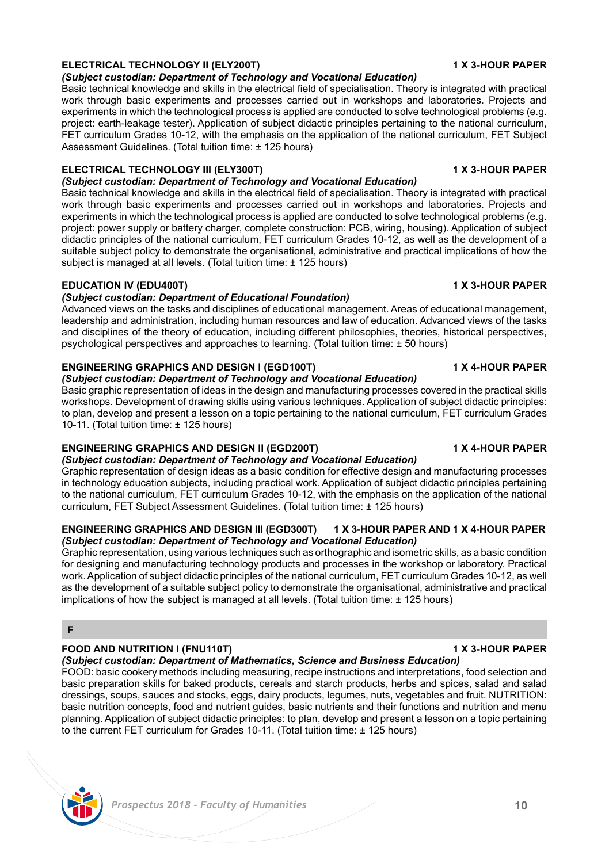# *Prospectus 2018 - Faculty of Humanities* **10**

# **ELECTRICAL TECHNOLOGY II (ELY200T) 1 X 3-HOUR PAPER**

# *(Subject custodian: Department of Technology and Vocational Education)*

Basic technical knowledge and skills in the electrical field of specialisation. Theory is integrated with practical work through basic experiments and processes carried out in workshops and laboratories. Projects and experiments in which the technological process is applied are conducted to solve technological problems (e.g. project: earth-leakage tester). Application of subject didactic principles pertaining to the national curriculum, FET curriculum Grades 10-12, with the emphasis on the application of the national curriculum, FET Subject Assessment Guidelines. (Total tuition time: ± 125 hours)

# **ELECTRICAL TECHNOLOGY III (ELY300T) 1 X 3-HOUR PAPER**

*(Subject custodian: Department of Technology and Vocational Education)* 

Basic technical knowledge and skills in the electrical field of specialisation. Theory is integrated with practical work through basic experiments and processes carried out in workshops and laboratories. Projects and experiments in which the technological process is applied are conducted to solve technological problems (e.g. project: power supply or battery charger, complete construction: PCB, wiring, housing). Application of subject didactic principles of the national curriculum, FET curriculum Grades 10-12, as well as the development of a suitable subject policy to demonstrate the organisational, administrative and practical implications of how the subject is managed at all levels. (Total tuition time: ± 125 hours)

### **EDUCATION IV (EDU400T) 1 X 3-HOUR PAPER**

### *(Subject custodian: Department of Educational Foundation)*

Advanced views on the tasks and disciplines of educational management. Areas of educational management, leadership and administration, including human resources and law of education. Advanced views of the tasks and disciplines of the theory of education, including different philosophies, theories, historical perspectives, psychological perspectives and approaches to learning. (Total tuition time: ± 50 hours)

# **ENGINEERING GRAPHICS AND DESIGN I (EGD100T) 1 X 4-HOUR PAPER**

### *(Subject custodian: Department of Technology and Vocational Education)*

Basic graphic representation of ideas in the design and manufacturing processes covered in the practical skills workshops. Development of drawing skills using various techniques. Application of subject didactic principles: to plan, develop and present a lesson on a topic pertaining to the national curriculum, FET curriculum Grades 10-11. (Total tuition time: ± 125 hours)

### **ENGINEERING GRAPHICS AND DESIGN II (EGD200T) 1 X 4-HOUR PAPER** *(Subject custodian: Department of Technology and Vocational Education)*

Graphic representation of design ideas as a basic condition for effective design and manufacturing processes in technology education subjects, including practical work. Application of subject didactic principles pertaining to the national curriculum, FET curriculum Grades 10-12, with the emphasis on the application of the national curriculum, FET Subject Assessment Guidelines. (Total tuition time: ± 125 hours)

### **ENGINEERING GRAPHICS AND DESIGN III (EGD300T) 1 X 3-HOUR PAPER AND 1 X 4-HOUR PAPER** *(Subject custodian: Department of Technology and Vocational Education)*

Graphic representation, using various techniques such as orthographic and isometric skills, as a basic condition for designing and manufacturing technology products and processes in the workshop or laboratory. Practical work. Application of subject didactic principles of the national curriculum, FET curriculum Grades 10-12, as well as the development of a suitable subject policy to demonstrate the organisational, administrative and practical implications of how the subject is managed at all levels. (Total tuition time: ± 125 hours)

### **F**

# **FOOD AND NUTRITION I (FNU110T) 1 X 3-HOUR PAPER**

### *(Subject custodian: Department of Mathematics, Science and Business Education)*

FOOD: basic cookery methods including measuring, recipe instructions and interpretations, food selection and basic preparation skills for baked products, cereals and starch products, herbs and spices, salad and salad dressings, soups, sauces and stocks, eggs, dairy products, legumes, nuts, vegetables and fruit. NUTRITION: basic nutrition concepts, food and nutrient guides, basic nutrients and their functions and nutrition and menu planning. Application of subject didactic principles: to plan, develop and present a lesson on a topic pertaining to the current FET curriculum for Grades 10-11. (Total tuition time: ± 125 hours)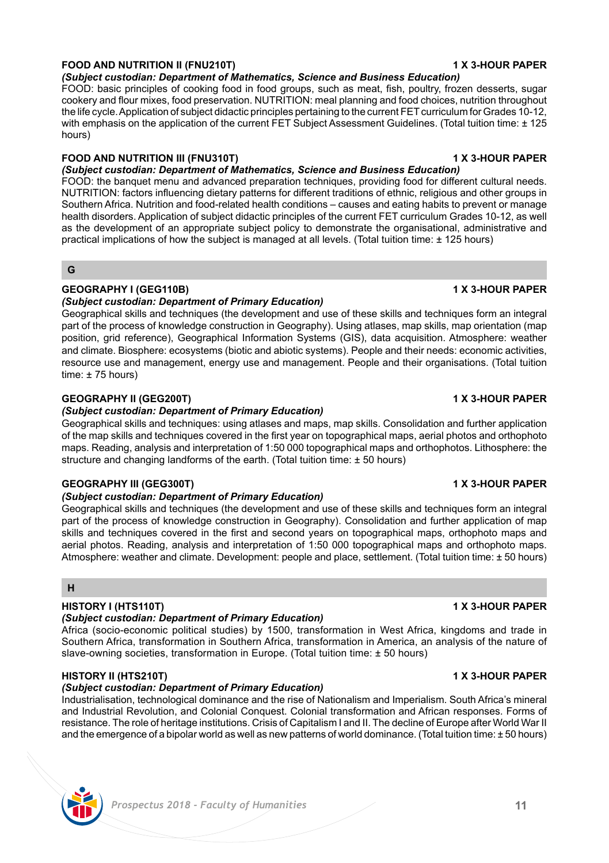# **FOOD AND NUTRITION II (FNU210T) 1 X 3-HOUR PAPER**

*(Subject custodian: Department of Mathematics, Science and Business Education)* 

FOOD: basic principles of cooking food in food groups, such as meat, fish, poultry, frozen desserts, sugar cookery and flour mixes, food preservation. NUTRITION: meal planning and food choices, nutrition throughout the life cycle. Application of subject didactic principles pertaining to the current FET curriculum for Grades 10-12, with emphasis on the application of the current FET Subject Assessment Guidelines. (Total tuition time: ± 125 hours)

# **FOOD AND NUTRITION III (FNU310T) 1 X 3-HOUR PAPER**

# *(Subject custodian: Department of Mathematics, Science and Business Education)*

FOOD: the banquet menu and advanced preparation techniques, providing food for different cultural needs. NUTRITION: factors influencing dietary patterns for different traditions of ethnic, religious and other groups in Southern Africa. Nutrition and food-related health conditions – causes and eating habits to prevent or manage health disorders. Application of subject didactic principles of the current FET curriculum Grades 10-12, as well as the development of an appropriate subject policy to demonstrate the organisational, administrative and practical implications of how the subject is managed at all levels. (Total tuition time: ± 125 hours)

### **G**

# **GEOGRAPHY I (GEG110B) 1 X 3-HOUR PAPER**

# *(Subject custodian: Department of Primary Education)*

Geographical skills and techniques (the development and use of these skills and techniques form an integral part of the process of knowledge construction in Geography). Using atlases, map skills, map orientation (map position, grid reference), Geographical Information Systems (GIS), data acquisition. Atmosphere: weather and climate. Biosphere: ecosystems (biotic and abiotic systems). People and their needs: economic activities, resource use and management, energy use and management. People and their organisations. (Total tuition time:  $\pm$  75 hours)

# **GEOGRAPHY II (GEG200T) 1 X 3-HOUR PAPER**

# *(Subject custodian: Department of Primary Education)*

Geographical skills and techniques: using atlases and maps, map skills. Consolidation and further application of the map skills and techniques covered in the first year on topographical maps, aerial photos and orthophoto maps. Reading, analysis and interpretation of 1:50 000 topographical maps and orthophotos. Lithosphere: the structure and changing landforms of the earth. (Total tuition time: ± 50 hours)

# **GEOGRAPHY III (GEG300T) 1 X 3-HOUR PAPER**

# *(Subject custodian: Department of Primary Education)*

Geographical skills and techniques (the development and use of these skills and techniques form an integral part of the process of knowledge construction in Geography). Consolidation and further application of map skills and techniques covered in the first and second years on topographical maps, orthophoto maps and aerial photos. Reading, analysis and interpretation of 1:50 000 topographical maps and orthophoto maps. Atmosphere: weather and climate. Development: people and place, settlement. (Total tuition time: ± 50 hours)

# **H**

# **HISTORY I (HTS110T) 1 X 3-HOUR PAPER**

# *(Subject custodian: Department of Primary Education)*

Africa (socio-economic political studies) by 1500, transformation in West Africa, kingdoms and trade in Southern Africa, transformation in Southern Africa, transformation in America, an analysis of the nature of slave-owning societies, transformation in Europe. (Total tuition time: ± 50 hours)

# **HISTORY II (HTS210T) 1 X 3-HOUR PAPER**

# *(Subject custodian: Department of Primary Education)*

Industrialisation, technological dominance and the rise of Nationalism and Imperialism. South Africa's mineral and Industrial Revolution, and Colonial Conquest. Colonial transformation and African responses. Forms of resistance. The role of heritage institutions. Crisis of Capitalism I and II. The decline of Europe after World War II and the emergence of a bipolar world as well as new patterns of world dominance. (Total tuition time: ± 50 hours)



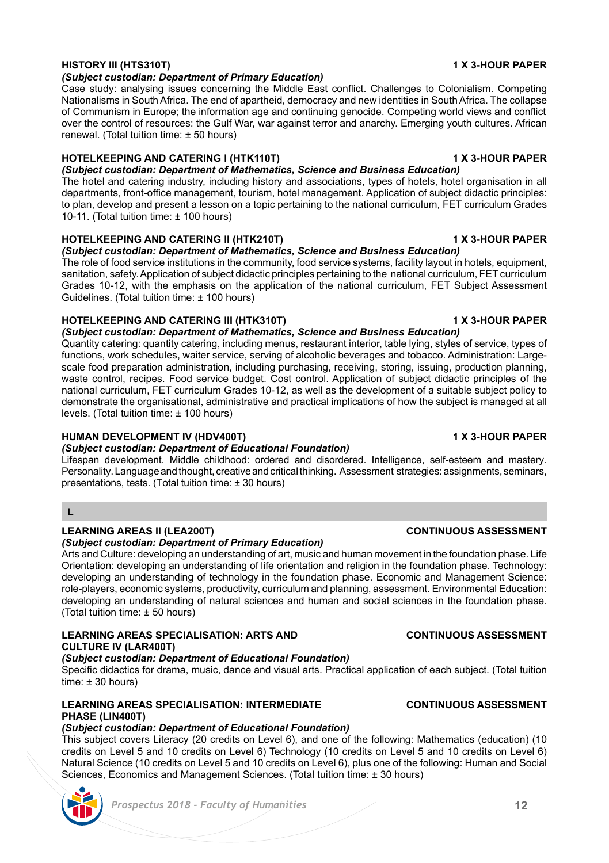### *Prospectus 2018 - Faculty of Humanities* **12**

# **HISTORY III (HTS310T) 1 X 3-HOUR PAPER**

### *(Subject custodian: Department of Primary Education)*

Case study: analysing issues concerning the Middle East conflict. Challenges to Colonialism. Competing Nationalisms in South Africa. The end of apartheid, democracy and new identities in South Africa. The collapse of Communism in Europe; the information age and continuing genocide. Competing world views and conflict over the control of resources: the Gulf War, war against terror and anarchy. Emerging youth cultures. African renewal. (Total tuition time: ± 50 hours)

### **HOTELKEEPING AND CATERING I (HTK110T) 1 X 3-HOUR PAPER**

*(Subject custodian: Department of Mathematics, Science and Business Education)*  The hotel and catering industry, including history and associations, types of hotels, hotel organisation in all departments, front-office management, tourism, hotel management. Application of subject didactic principles: to plan, develop and present a lesson on a topic pertaining to the national curriculum, FET curriculum Grades 10-11. (Total tuition time: ± 100 hours)

# **HOTELKEEPING AND CATERING II (HTK210T)** 1 X 3-HOUR PAPER

### *(Subject custodian: Department of Mathematics, Science and Business Education)*

The role of food service institutions in the community, food service systems, facility layout in hotels, equipment, sanitation, safety. Application of subject didactic principles pertaining to the national curriculum, FET curriculum Grades 10-12, with the emphasis on the application of the national curriculum, FET Subject Assessment Guidelines. (Total tuition time: ± 100 hours)

# **HOTELKEEPING AND CATERING III (HTK310T) 1 X 3-HOUR PAPER**

*(Subject custodian: Department of Mathematics, Science and Business Education)* 

Quantity catering: quantity catering, including menus, restaurant interior, table lying, styles of service, types of functions, work schedules, waiter service, serving of alcoholic beverages and tobacco. Administration: Largescale food preparation administration, including purchasing, receiving, storing, issuing, production planning, waste control, recipes. Food service budget. Cost control. Application of subject didactic principles of the national curriculum, FET curriculum Grades 10-12, as well as the development of a suitable subject policy to demonstrate the organisational, administrative and practical implications of how the subject is managed at all levels. (Total tuition time: ± 100 hours)

### **HUMAN DEVELOPMENT IV (HDV400T) 1 X 3-HOUR PAPER**

*(Subject custodian: Department of Educational Foundation)*

Lifespan development. Middle childhood: ordered and disordered. Intelligence, self-esteem and mastery. Personality. Language and thought, creative and critical thinking. Assessment strategies: assignments, seminars, presentations, tests. (Total tuition time: ± 30 hours)

# **L**

### **LEARNING AREAS II (LEA200T) CONTINUOUS ASSESSMENT**

### *(Subject custodian: Department of Primary Education)*

Arts and Culture: developing an understanding of art, music and human movement in the foundation phase. Life Orientation: developing an understanding of life orientation and religion in the foundation phase. Technology: developing an understanding of technology in the foundation phase. Economic and Management Science: role-players, economic systems, productivity, curriculum and planning, assessment. Environmental Education: developing an understanding of natural sciences and human and social sciences in the foundation phase. (Total tuition time: ± 50 hours)

# **LEARNING AREAS SPECIALISATION: ARTS AND CONTINUOUS ASSESSMENT CULTURE IV (LAR400T)**

## *(Subject custodian: Department of Educational Foundation)*

Specific didactics for drama, music, dance and visual arts. Practical application of each subject. (Total tuition time: ± 30 hours)

# **LEARNING AREAS SPECIALISATION: INTERMEDIATE CONTINUOUS ASSESSMENT PHASE (LIN400T)**

# *(Subject custodian: Department of Educational Foundation)*

This subject covers Literacy (20 credits on Level 6), and one of the following: Mathematics (education) (10 credits on Level 5 and 10 credits on Level 6) Technology (10 credits on Level 5 and 10 credits on Level 6) Natural Science (10 credits on Level 5 and 10 credits on Level 6), plus one of the following: Human and Social Sciences, Economics and Management Sciences. (Total tuition time: ± 30 hours)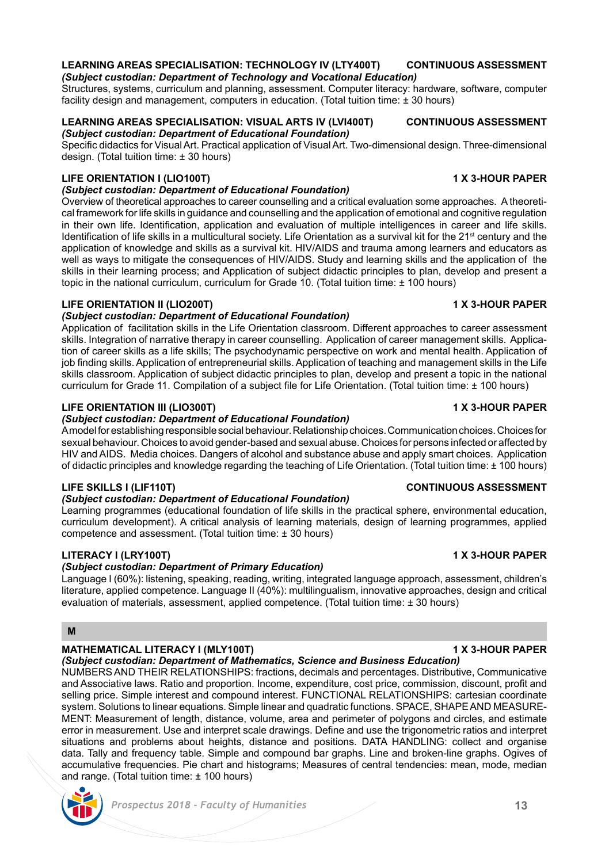### **LEARNING AREAS SPECIALISATION: TECHNOLOGY IV (LTY400T) CONTINUOUS ASSESSMENT** *(Subject custodian: Department of Technology and Vocational Education)*

Structures, systems, curriculum and planning, assessment. Computer literacy: hardware, software, computer facility design and management, computers in education. (Total tuition time:  $\pm$  30 hours)

### **LEARNING AREAS SPECIALISATION: VISUAL ARTS IV (LVI400T) CONTINUOUS ASSESSMENT** *(Subject custodian: Department of Educational Foundation)*

Specific didactics for Visual Art. Practical application of Visual Art. Two-dimensional design. Three-dimensional design. (Total tuition time: ± 30 hours)

# **LIFE ORIENTATION I (LIO100T) 1 X 3-HOUR PAPER**

*(Subject custodian: Department of Educational Foundation)*

Overview of theoretical approaches to career counselling and a critical evaluation some approaches. A theoretical framework for life skills in guidance and counselling and the application of emotional and cognitive regulation in their own life. Identification, application and evaluation of multiple intelligences in career and life skills. Identification of life skills in a multicultural society. Life Orientation as a survival kit for the  $21<sup>st</sup>$  century and the application of knowledge and skills as a survival kit. HIV/AIDS and trauma among learners and educators as well as ways to mitigate the consequences of HIV/AIDS. Study and learning skills and the application of the skills in their learning process; and Application of subject didactic principles to plan, develop and present a topic in the national curriculum, curriculum for Grade 10. (Total tuition time: ± 100 hours)

### **LIFE ORIENTATION II (LIO200T) 1 X 3-HOUR PAPER**

### *(Subject custodian: Department of Educational Foundation)*

Application of facilitation skills in the Life Orientation classroom. Different approaches to career assessment skills. Integration of narrative therapy in career counselling. Application of career management skills. Application of career skills as a life skills; The psychodynamic perspective on work and mental health. Application of job finding skills. Application of entrepreneurial skills. Application of teaching and management skills in the Life skills classroom. Application of subject didactic principles to plan, develop and present a topic in the national curriculum for Grade 11. Compilation of a subject file for Life Orientation. (Total tuition time: ± 100 hours)

# **LIFE ORIENTATION III (LIO300T) 1 X 3-HOUR PAPER**

### *(Subject custodian: Department of Educational Foundation)*

A model for establishing responsible social behaviour. Relationship choices. Communication choices. Choices for sexual behaviour. Choices to avoid gender-based and sexual abuse. Choices for persons infected or affected by HIV and AIDS. Media choices. Dangers of alcohol and substance abuse and apply smart choices. Application of didactic principles and knowledge regarding the teaching of Life Orientation. (Total tuition time: ± 100 hours)

# **LIFE SKILLS I (LIF110T) CONTINUOUS ASSESSMENT**

### *(Subject custodian: Department of Educational Foundation)*

Learning programmes (educational foundation of life skills in the practical sphere, environmental education, curriculum development). A critical analysis of learning materials, design of learning programmes, applied competence and assessment. (Total tuition time: ± 30 hours)

# **LITERACY I (LRY100T) 1 X 3-HOUR PAPER**

### *(Subject custodian: Department of Primary Education)*

Language I (60%): listening, speaking, reading, writing, integrated language approach, assessment, children's literature, applied competence. Language II (40%): multilingualism, innovative approaches, design and critical evaluation of materials, assessment, applied competence. (Total tuition time: ± 30 hours)

### **M**

# **MATHEMATICAL LITERACY I (MLY100T)** 1 X 3-HOUR PAPER

*(Subject custodian: Department of Mathematics, Science and Business Education)* 

NUMBERS AND THEIR RELATIONSHIPS: fractions, decimals and percentages. Distributive, Communicative and Associative laws. Ratio and proportion. Income, expenditure, cost price, commission, discount, profit and selling price. Simple interest and compound interest. FUNCTIONAL RELATIONSHIPS: cartesian coordinate system. Solutions to linear equations. Simple linear and quadratic functions. SPACE, SHAPE AND MEASURE-MENT: Measurement of length, distance, volume, area and perimeter of polygons and circles, and estimate error in measurement. Use and interpret scale drawings. Define and use the trigonometric ratios and interpret situations and problems about heights, distance and positions. DATA HANDLING: collect and organise data. Tally and frequency table. Simple and compound bar graphs. Line and broken-line graphs. Ogives of accumulative frequencies. Pie chart and histograms: Measures of central tendencies: mean, mode, median and range. (Total tuition time: ± 100 hours)



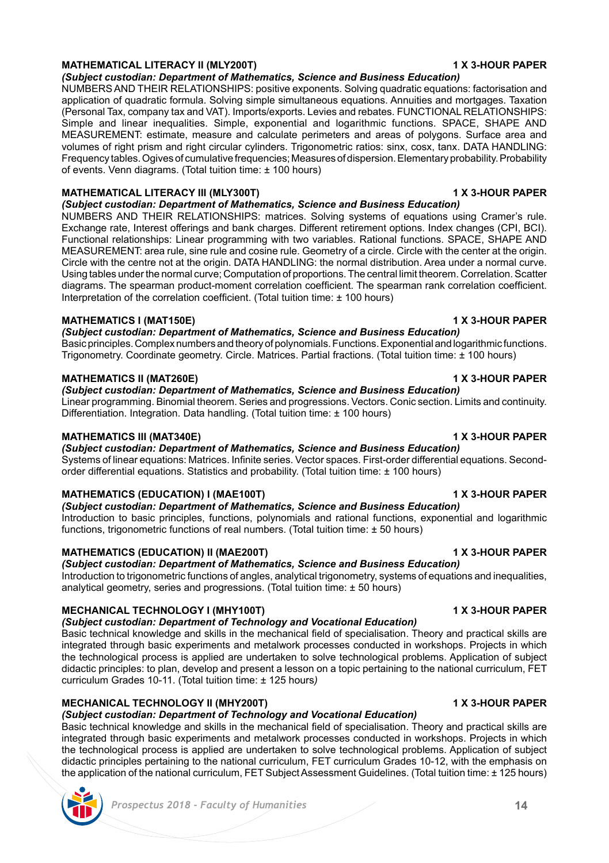# **MATHEMATICAL LITERACY II (MLY200T) 1 X 3-HOUR PAPER**

*(Subject custodian: Department of Mathematics, Science and Business Education)* 

NUMBERS AND THEIR RELATIONSHIPS: positive exponents. Solving quadratic equations: factorisation and application of quadratic formula. Solving simple simultaneous equations. Annuities and mortgages. Taxation (Personal Tax, company tax and VAT). Imports/exports. Levies and rebates. FUNCTIONAL RELATIONSHIPS: Simple and linear inequalities. Simple, exponential and logarithmic functions. SPACE, SHAPE AND MEASUREMENT: estimate, measure and calculate perimeters and areas of polygons. Surface area and volumes of right prism and right circular cylinders. Trigonometric ratios: sinx, cosx, tanx. DATA HANDLING: Frequency tables. Ogives of cumulative frequencies; Measures of dispersion. Elementary probability. Probability of events. Venn diagrams. (Total tuition time: ± 100 hours)

### **MATHEMATICAL LITERACY III (MLY300T) 1 X 3-HOUR PAPER**

*(Subject custodian: Department of Mathematics, Science and Business Education)*  NUMBERS AND THEIR RELATIONSHIPS: matrices. Solving systems of equations using Cramer's rule. Exchange rate, Interest offerings and bank charges. Different retirement options. Index changes (CPI, BCI). Functional relationships: Linear programming with two variables. Rational functions. SPACE, SHAPE AND MEASUREMENT: area rule, sine rule and cosine rule. Geometry of a circle. Circle with the center at the origin. Circle with the centre not at the origin. DATA HANDLING: the normal distribution. Area under a normal curve. Using tables under the normal curve; Computation of proportions. The central limit theorem. Correlation. Scatter

diagrams. The spearman product-moment correlation coefficient. The spearman rank correlation coefficient. Interpretation of the correlation coefficient. (Total tuition time: ± 100 hours)

# **MATHEMATICS I (MAT150E) 1 X 3-HOUR PAPER**

*(Subject custodian: Department of Mathematics, Science and Business Education)*  Basic principles. Complex numbers and theory of polynomials. Functions. Exponential and logarithmic functions. Trigonometry. Coordinate geometry. Circle. Matrices. Partial fractions. (Total tuition time: ± 100 hours)

### **MATHEMATICS II (MAT260E) 1 X 3-HOUR PAPER** *(Subject custodian: Department of Mathematics, Science and Business Education)*

Linear programming. Binomial theorem. Series and progressions. Vectors. Conic section. Limits and continuity. Differentiation. Integration. Data handling. (Total tuition time: ± 100 hours)

# **MATHEMATICS III (MAT340E) 1 X 3-HOUR PAPER**

*(Subject custodian: Department of Mathematics, Science and Business Education)*  Systems of linear equations: Matrices. Infinite series. Vector spaces. First-order differential equations. Secondorder differential equations. Statistics and probability. (Total tuition time: ± 100 hours)

# **MATHEMATICS (EDUCATION) I (MAE100T) 1 X 3-HOUR PAPER**

# *(Subject custodian: Department of Mathematics, Science and Business Education)*

Introduction to basic principles, functions, polynomials and rational functions, exponential and logarithmic functions, trigonometric functions of real numbers. (Total tuition time: ± 50 hours)

# **MATHEMATICS (EDUCATION) II (MAE200T) 1 X 3-HOUR PAPER**

*(Subject custodian: Department of Mathematics, Science and Business Education)*  Introduction to trigonometric functions of angles, analytical trigonometry, systems of equations and inequalities, analytical geometry, series and progressions. (Total tuition time: ± 50 hours)

# **MECHANICAL TECHNOLOGY I (MHY100T)** 1 1 X 3-HOUR PAPER

# *(Subject custodian: Department of Technology and Vocational Education)*

Basic technical knowledge and skills in the mechanical field of specialisation. Theory and practical skills are integrated through basic experiments and metalwork processes conducted in workshops. Projects in which the technological process is applied are undertaken to solve technological problems. Application of subject didactic principles: to plan, develop and present a lesson on a topic pertaining to the national curriculum, FET curriculum Grades 10-11. (Total tuition time: ± 125 hours*)*

# **MECHANICAL TECHNOLOGY II (MHY200T) 1 X 3-HOUR PAPER**

# *(Subject custodian: Department of Technology and Vocational Education)*

Basic technical knowledge and skills in the mechanical field of specialisation. Theory and practical skills are integrated through basic experiments and metalwork processes conducted in workshops. Projects in which the technological process is applied are undertaken to solve technological problems. Application of subject didactic principles pertaining to the national curriculum, FET curriculum Grades 10-12, with the emphasis on the application of the national curriculum, FET Subject Assessment Guidelines. (Total tuition time: ± 125 hours)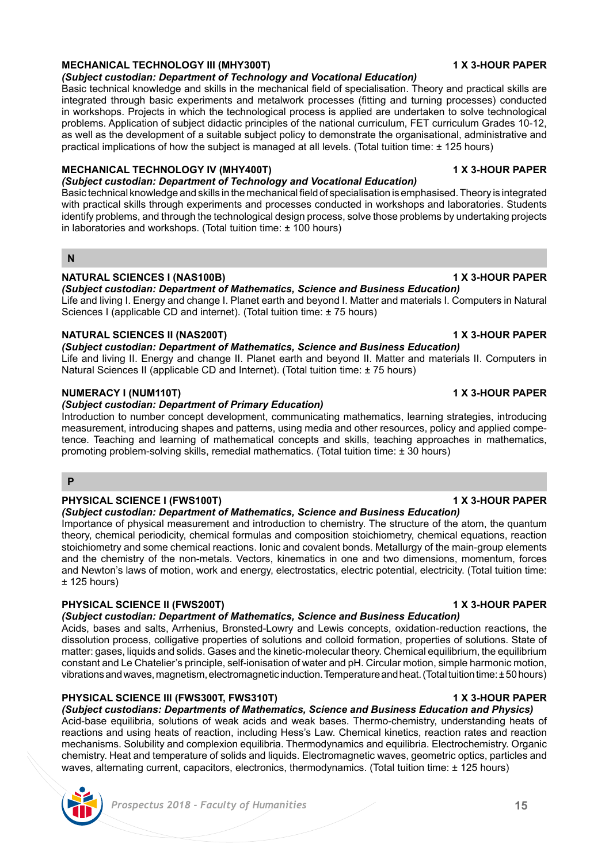# **MECHANICAL TECHNOLOGY III (MHY300T) 1 X 3-HOUR PAPER**

# *(Subject custodian: Department of Technology and Vocational Education)*

Basic technical knowledge and skills in the mechanical field of specialisation. Theory and practical skills are integrated through basic experiments and metalwork processes (fitting and turning processes) conducted in workshops. Projects in which the technological process is applied are undertaken to solve technological problems. Application of subject didactic principles of the national curriculum, FET curriculum Grades 10-12, as well as the development of a suitable subject policy to demonstrate the organisational, administrative and practical implications of how the subject is managed at all levels. (Total tuition time: ± 125 hours)

# **MECHANICAL TECHNOLOGY IV (MHY400T) 1 X 3-HOUR PAPER**

*(Subject custodian: Department of Technology and Vocational Education)*  Basic technical knowledge and skills in the mechanical field of specialisation is emphasised. Theory is integrated with practical skills through experiments and processes conducted in workshops and laboratories. Students identify problems, and through the technological design process, solve those problems by undertaking projects in laboratories and workshops. (Total tuition time: ± 100 hours)

# **N**

# **NATURAL SCIENCES I (NAS100B) 1 X 3-HOUR PAPER**

*(Subject custodian: Department of Mathematics, Science and Business Education)*  Life and living I. Energy and change I. Planet earth and beyond I. Matter and materials I. Computers in Natural Sciences I (applicable CD and internet). (Total tuition time: ± 75 hours)

# **NATURAL SCIENCES II (NAS200T) 1 X 3-HOUR PAPER**

*(Subject custodian: Department of Mathematics, Science and Business Education)*  Life and living II. Energy and change II. Planet earth and beyond II. Matter and materials II. Computers in Natural Sciences II (applicable CD and Internet). (Total tuition time: ± 75 hours)

## **NUMERACY I (NUM110T) 1 X 3-HOUR PAPER**

### *(Subject custodian: Department of Primary Education)*

Introduction to number concept development, communicating mathematics, learning strategies, introducing measurement, introducing shapes and patterns, using media and other resources, policy and applied competence. Teaching and learning of mathematical concepts and skills, teaching approaches in mathematics, promoting problem-solving skills, remedial mathematics. (Total tuition time: ± 30 hours)

### **P**

# **PHYSICAL SCIENCE I (FWS100T) 1 X 3-HOUR PAPER**

# *(Subject custodian: Department of Mathematics, Science and Business Education)*

Importance of physical measurement and introduction to chemistry. The structure of the atom, the quantum theory, chemical periodicity, chemical formulas and composition stoichiometry, chemical equations, reaction stoichiometry and some chemical reactions. Ionic and covalent bonds. Metallurgy of the main-group elements and the chemistry of the non-metals. Vectors, kinematics in one and two dimensions, momentum, forces and Newton's laws of motion, work and energy, electrostatics, electric potential, electricity. (Total tuition time:  $± 125$  hours)

# **PHYSICAL SCIENCE II (FWS200T) 1 X 3-HOUR PAPER**

*(Subject custodian: Department of Mathematics, Science and Business Education)* 

Acids, bases and salts, Arrhenius, Bronsted-Lowry and Lewis concepts, oxidation-reduction reactions, the dissolution process, colligative properties of solutions and colloid formation, properties of solutions. State of matter: gases, liquids and solids. Gases and the kinetic-molecular theory. Chemical equilibrium, the equilibrium constant and Le Chatelier's principle, self-ionisation of water and pH. Circular motion, simple harmonic motion, vibrations and waves, magnetism, electromagnetic induction. Temperature and heat. (Total tuition time: ± 50 hours)

# **PHYSICAL SCIENCE III (FWS300T, FWS310T) 1 X 3-HOUR PAPER**

*(Subject custodians: Departments of Mathematics, Science and Business Education and Physics)* Acid-base equilibria, solutions of weak acids and weak bases. Thermo-chemistry, understanding heats of reactions and using heats of reaction, including Hess's Law. Chemical kinetics, reaction rates and reaction mechanisms. Solubility and complexion equilibria. Thermodynamics and equilibria. Electrochemistry. Organic chemistry. Heat and temperature of solids and liquids. Electromagnetic waves, geometric optics, particles and waves, alternating current, capacitors, electronics, thermodynamics. (Total tuition time: ± 125 hours)

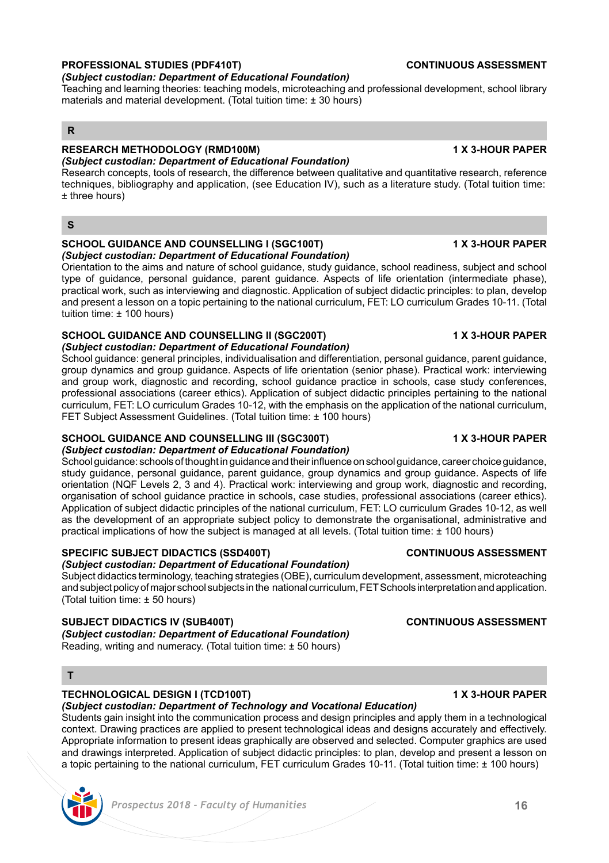# **PROFESSIONAL STUDIES (PDF410T) CONTINUOUS ASSESSMENT**

# *(Subject custodian: Department of Educational Foundation)*

Teaching and learning theories: teaching models, microteaching and professional development, school library materials and material development. (Total tuition time: ± 30 hours)

# **R**

# **RESEARCH METHODOLOGY (RMD100M) 1 X 3-HOUR PAPER**

*(Subject custodian: Department of Educational Foundation)* Research concepts, tools of research, the difference between qualitative and quantitative research, reference techniques, bibliography and application, (see Education IV), such as a literature study. (Total tuition time: ± three hours)

# **S**

### **SCHOOL GUIDANCE AND COUNSELLING I (SGC100T) 1 X 3-HOUR PAPER** *(Subject custodian: Department of Educational Foundation)*

Orientation to the aims and nature of school guidance, study guidance, school readiness, subject and school type of guidance, personal guidance, parent guidance. Aspects of life orientation (intermediate phase), practical work, such as interviewing and diagnostic. Application of subject didactic principles: to plan, develop and present a lesson on a topic pertaining to the national curriculum, FET: LO curriculum Grades 10-11. (Total tuition time: ± 100 hours)

# **SCHOOL GUIDANCE AND COUNSELLING II (SGC200T) 1 X 3-HOUR PAPER**

*(Subject custodian: Department of Educational Foundation)*

School guidance: general principles, individualisation and differentiation, personal guidance, parent guidance, group dynamics and group guidance. Aspects of life orientation (senior phase). Practical work: interviewing and group work, diagnostic and recording, school guidance practice in schools, case study conferences, professional associations (career ethics). Application of subject didactic principles pertaining to the national curriculum, FET: LO curriculum Grades 10-12, with the emphasis on the application of the national curriculum, FET Subject Assessment Guidelines. (Total tuition time: ± 100 hours)

# **SCHOOL GUIDANCE AND COUNSELLING III (SGC300T) 1 X 3-HOUR PAPER**

*(Subject custodian: Department of Educational Foundation)*

School guidance: schools of thought in guidance and their influence on school guidance, career choice guidance, study guidance, personal guidance, parent guidance, group dynamics and group guidance. Aspects of life orientation (NQF Levels 2, 3 and 4). Practical work: interviewing and group work, diagnostic and recording, organisation of school guidance practice in schools, case studies, professional associations (career ethics). Application of subject didactic principles of the national curriculum, FET: LO curriculum Grades 10-12, as well as the development of an appropriate subject policy to demonstrate the organisational, administrative and practical implications of how the subject is managed at all levels. (Total tuition time: ± 100 hours)

# **SPECIFIC SUBJECT DIDACTICS (SSD400T) CONTINUOUS ASSESSMENT**

*(Subject custodian: Department of Educational Foundation)*

Subject didactics terminology, teaching strategies (OBE), curriculum development, assessment, microteaching and subject policy of major school subjects in the national curriculum, FET Schools interpretation and application. (Total tuition time: ± 50 hours)

# **SUBJECT DIDACTICS IV (SUB400T) CONTINUOUS ASSESSMENT**

*(Subject custodian: Department of Educational Foundation)* Reading, writing and numeracy. (Total tuition time: ± 50 hours)

# **T**

# **TECHNOLOGICAL DESIGN I (TCD100T) 1 X 3-HOUR PAPER**

*(Subject custodian: Department of Technology and Vocational Education)* 

Students gain insight into the communication process and design principles and apply them in a technological context. Drawing practices are applied to present technological ideas and designs accurately and effectively. Appropriate information to present ideas graphically are observed and selected. Computer graphics are used and drawings interpreted. Application of subject didactic principles: to plan, develop and present a lesson on a topic pertaining to the national curriculum, FET curriculum Grades 10-11. (Total tuition time: ± 100 hours)